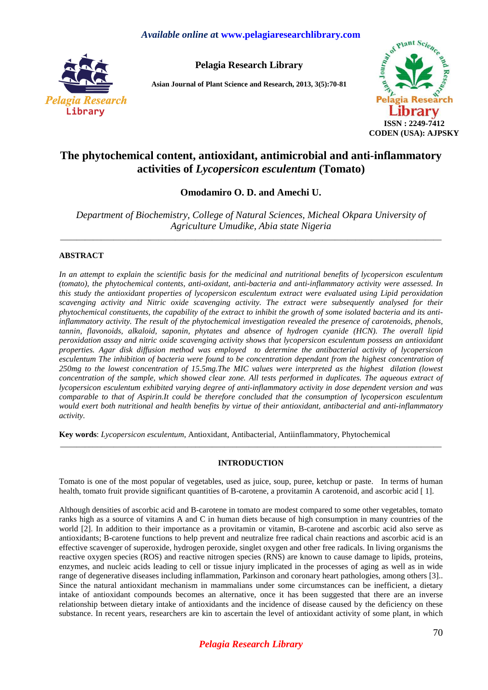# *Available online a***t www.pelagiaresearchlibrary.com**



**Pelagia Research Library** 

**Asian Journal of Plant Science and Research, 2013, 3(5):70-81** 



# **The phytochemical content, antioxidant, antimicrobial and anti-inflammatory activities of** *Lycopersicon esculentum* **(Tomato)**

**Omodamiro O. D. and Amechi U.** 

*Department of Biochemistry, College of Natural Sciences, Micheal Okpara University of Agriculture Umudike, Abia state Nigeria*  \_\_\_\_\_\_\_\_\_\_\_\_\_\_\_\_\_\_\_\_\_\_\_\_\_\_\_\_\_\_\_\_\_\_\_\_\_\_\_\_\_\_\_\_\_\_\_\_\_\_\_\_\_\_\_\_\_\_\_\_\_\_\_\_\_\_\_\_\_\_\_\_\_\_\_\_\_\_\_\_\_\_\_\_\_\_\_\_\_\_\_\_\_

# **ABSTRACT**

*In an attempt to explain the scientific basis for the medicinal and nutritional benefits of lycopersicon esculentum (tomato), the phytochemical contents, anti-oxidant, anti-bacteria and anti-inflammatory activity were assessed. In this study the antioxidant properties of lycopersicon esculentum extract were evaluated using Lipid peroxidation scavenging activity and Nitric oxide scavenging activity. The extract were subsequently analysed for their phytochemical constituents, the capability of the extract to inhibit the growth of some isolated bacteria and its antiinflammatory activity. The result of the phytochemical investigation revealed the presence of carotenoids, phenols, tannin, flavonoids, alkaloid, saponin, phytates and absence of hydrogen cyanide (HCN). The overall lipid peroxidation assay and nitric oxide scavenging activity shows that lycopersicon esculentum possess an antioxidant properties. Agar disk diffusion method was employed to determine the antibacterial activity of lycopersicon esculentum The inhibition of bacteria were found to be concentration dependant from the highest concentration of 250mg to the lowest concentration of 15.5mg.The MIC values were interpreted as the highest dilation (lowest concentration of the sample, which showed clear zone. All tests performed in duplicates. The aqueous extract of lycopersicon esculentum exhibited varying degree of anti-inflammatory activity in dose dependent version and was comparable to that of Aspirin.It could be therefore concluded that the consumption of lycopersicon esculentum would exert both nutritional and health benefits by virtue of their antioxidant, antibacterial and anti-inflammatory activity.* 

**Key words**: *Lycopersicon esculentum*, Antioxidant, Antibacterial, Antiinflammatory, Phytochemical

# **INTRODUCTION**

\_\_\_\_\_\_\_\_\_\_\_\_\_\_\_\_\_\_\_\_\_\_\_\_\_\_\_\_\_\_\_\_\_\_\_\_\_\_\_\_\_\_\_\_\_\_\_\_\_\_\_\_\_\_\_\_\_\_\_\_\_\_\_\_\_\_\_\_\_\_\_\_\_\_\_\_\_\_\_\_\_\_\_\_\_\_\_\_\_\_\_\_\_

Tomato is one of the most popular of vegetables, used as juice, soup, puree, ketchup or paste. In terms of human health, tomato fruit provide significant quantities of B-carotene, a provitamin A carotenoid, and ascorbic acid [1].

Although densities of ascorbic acid and B-carotene in tomato are modest compared to some other vegetables, tomato ranks high as a source of vitamins A and C in human diets because of high consumption in many countries of the world [2]. In addition to their importance as a provitamin or vitamin, B-carotene and ascorbic acid also serve as antioxidants; B-carotene functions to help prevent and neutralize free radical chain reactions and ascorbic acid is an effective scavenger of superoxide, hydrogen peroxide, singlet oxygen and other free radicals. In living organisms the reactive oxygen species (ROS) and reactive nitrogen species (RNS) are known to cause damage to lipids, proteins, enzymes, and nucleic acids leading to cell or tissue injury implicated in the processes of aging as well as in wide range of degenerative diseases including inflammation, Parkinson and coronary heart pathologies, among others [3].. Since the natural antioxidant mechanism in mammalians under some circumstances can be inefficient, a dietary intake of antioxidant compounds becomes an alternative, once it has been suggested that there are an inverse relationship between dietary intake of antioxidants and the incidence of disease caused by the deficiency on these substance. In recent years, researchers are kin to ascertain the level of antioxidant activity of some plant, in which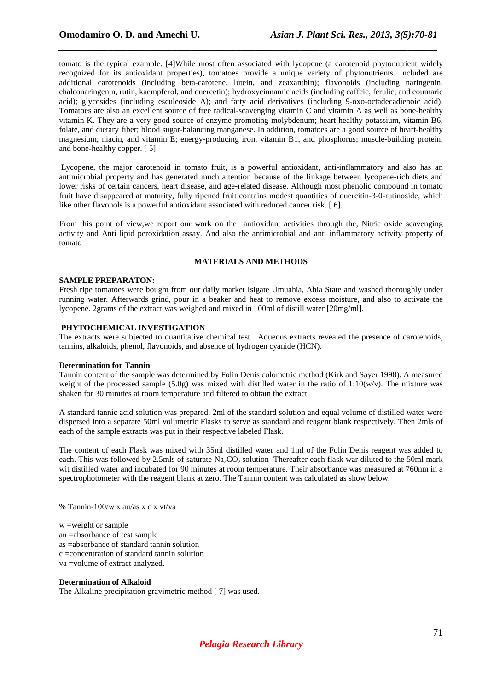tomato is the typical example. [4]While most often associated with lycopene (a carotenoid phytonutrient widely recognized for its antioxidant properties), tomatoes provide a unique variety of phytonutrients. Included are additional carotenoids (including beta-carotene, lutein, and zeaxanthin); flavonoids (including naringenin, chalconaringenin, rutin, kaempferol, and quercetin); hydroxycinnamic acids (including caffeic, ferulic, and coumaric acid); glycosides (including esculeoside A); and fatty acid derivatives (including 9-oxo-octadecadienoic acid). Tomatoes are also an excellent source of free radical-scavenging vitamin C and vitamin A as well as bone-healthy vitamin K. They are a very good source of enzyme-promoting molybdenum; heart-healthy potassium, vitamin B6, folate, and dietary fiber; blood sugar-balancing manganese. In addition, tomatoes are a good source of heart-healthy magnesium, niacin, and vitamin E; energy-producing iron, vitamin B1, and phosphorus; muscle-building protein, and bone-healthy copper. [ 5]

*\_\_\_\_\_\_\_\_\_\_\_\_\_\_\_\_\_\_\_\_\_\_\_\_\_\_\_\_\_\_\_\_\_\_\_\_\_\_\_\_\_\_\_\_\_\_\_\_\_\_\_\_\_\_\_\_\_\_\_\_\_\_\_\_\_\_\_\_\_\_\_\_\_\_\_\_\_* 

 Lycopene, the major carotenoid in tomato fruit, is a powerful antioxidant, anti-inflammatory and also has an antimicrobial property and has generated much attention because of the linkage between lycopene-rich diets and lower risks of certain cancers, heart disease, and age-related disease. Although most phenolic compound in tomato fruit have disappeared at maturity, fully ripened fruit contains modest quantities of quercitin-3-0-rutinoside, which like other flavonols is a powerful antioxidant associated with reduced cancer risk. [6].

From this point of view,we report our work on the antioxidant activities through the, Nitric oxide scavenging activity and Anti lipid peroxidation assay. And also the antimicrobial and anti inflammatory activity property of tomato

### **MATERIALS AND METHODS**

#### **SAMPLE PREPARATON:**

Fresh ripe tomatoes were bought from our daily market Isigate Umuahia, Abia State and washed thoroughly under running water. Afterwards grind, pour in a beaker and heat to remove excess moisture, and also to activate the lycopene. 2grams of the extract was weighed and mixed in 100ml of distill water [20mg/ml].

### **PHYTOCHEMICAL INVESTIGATION**

The extracts were subjected to quantitative chemical test. Aqueous extracts revealed the presence of carotenoids, tannins, alkaloids, phenol, flavonoids, and absence of hydrogen cyanide (HCN).

#### **Determination for Tannin**

Tannin content of the sample was determined by Folin Denis colometric method (Kirk and Sayer 1998). A measured weight of the processed sample (5.0g) was mixed with distilled water in the ratio of  $1:10(w/v)$ . The mixture was shaken for 30 minutes at room temperature and filtered to obtain the extract.

A standard tannic acid solution was prepared, 2ml of the standard solution and equal volume of distilled water were dispersed into a separate 50ml volumetric Flasks to serve as standard and reagent blank respectively. Then 2mls of each of the sample extracts was put in their respective labeled Flask.

The content of each Flask was mixed with 35ml distilled water and 1ml of the Folin Denis reagent was added to each. This was followed by 2.5mls of saturate  $Na_2CO_2$  solution Thereafter each flask war diluted to the 50ml mark wit distilled water and incubated for 90 minutes at room temperature. Their absorbance was measured at 760nm in a spectrophotometer with the reagent blank at zero. The Tannin content was calculated as show below.

% Tannin-100/w x au/as x c x vt/va

 $w = weight$  or sample au =absorbance of test sample as =absorbance of standard tannin solution c =concentration of standard tannin solution va =volume of extract analyzed.

### **Determination of Alkaloid**

The Alkaline precipitation gravimetric method [ 7] was used.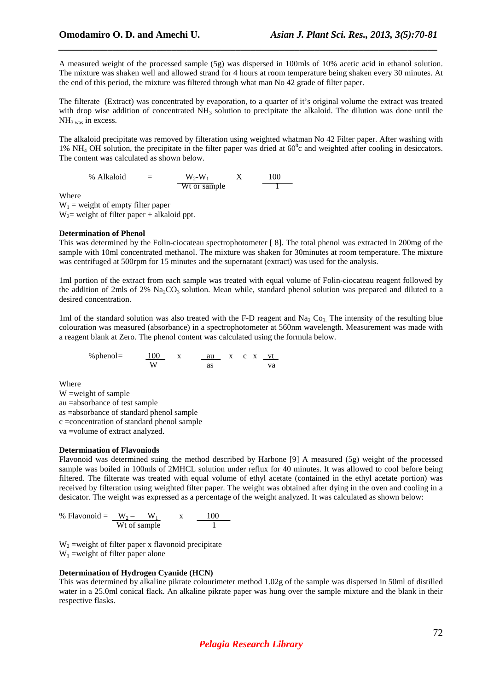A measured weight of the processed sample (5g) was dispersed in 100mls of 10% acetic acid in ethanol solution. The mixture was shaken well and allowed strand for 4 hours at room temperature being shaken every 30 minutes. At the end of this period, the mixture was filtered through what man No 42 grade of filter paper.

*\_\_\_\_\_\_\_\_\_\_\_\_\_\_\_\_\_\_\_\_\_\_\_\_\_\_\_\_\_\_\_\_\_\_\_\_\_\_\_\_\_\_\_\_\_\_\_\_\_\_\_\_\_\_\_\_\_\_\_\_\_\_\_\_\_\_\_\_\_\_\_\_\_\_\_\_\_* 

The filterate (Extract) was concentrated by evaporation, to a quarter of it's original volume the extract was treated with drop wise addition of concentrated  $NH<sub>3</sub>$  solution to precipitate the alkaloid. The dilution was done until the  $NH<sub>3 was</sub>$  in excess.

The alkaloid precipitate was removed by filteration using weighted whatman No 42 Filter paper. After washing with 1% NH<sub>4</sub> OH solution, the precipitate in the filter paper was dried at  $60^{\circ}$ c and weighted after cooling in desiccators. The content was calculated as shown below.

% Alkaloid = 
$$
\frac{W_2-W_1}{Wt \text{ or sample}} \quad X \quad \frac{100}{1}
$$

Where

 $W_1$  = weight of empty filter paper  $W_2$  weight of filter paper + alkaloid ppt.

# **Determination of Phenol**

This was determined by the Folin-ciocateau spectrophotometer [ 8]. The total phenol was extracted in 200mg of the sample with 10ml concentrated methanol. The mixture was shaken for 30minutes at room temperature. The mixture was centrifuged at 500rpm for 15 minutes and the supernatant (extract) was used for the analysis.

1ml portion of the extract from each sample was treated with equal volume of Folin-ciocateau reagent followed by the addition of 2mls of 2%  $\text{Na}_2\text{CO}_3$  solution. Mean while, standard phenol solution was prepared and diluted to a desired concentration.

1ml of the standard solution was also treated with the F-D reagent and  $Na<sub>2</sub> Co<sub>3</sub>$ . The intensity of the resulting blue colouration was measured (absorbance) in a spectrophotometer at 560nm wavelength. Measurement was made with a reagent blank at Zero. The phenol content was calculated using the formula below.

$$
\%phenol = \frac{100}{W} \times \frac{au}{as} \times c \times \frac{vt}{va}
$$

Where

W =weight of sample au =absorbance of test sample as =absorbance of standard phenol sample c =concentration of standard phenol sample va =volume of extract analyzed.

# **Determination of Flavoniods**

Flavonoid was determined suing the method described by Harbone [9] A measured (5g) weight of the processed sample was boiled in 100mls of 2MHCL solution under reflux for 40 minutes. It was allowed to cool before being filtered. The filterate was treated with equal volume of ethyl acetate (contained in the ethyl acetate portion) was received by filteration using weighted filter paper. The weight was obtained after dying in the oven and cooling in a desicator. The weight was expressed as a percentage of the weight analyzed. It was calculated as shown below:

% Flavonoid =  $W_2$  –  $W_1$  x 100 Wt of sample 1

 $W<sub>2</sub>$  =weight of filter paper x flavonoid precipitate  $W_1$  =weight of filter paper alone

# **Determination of Hydrogen Cyanide (HCN)**

This was determined by alkaline pikrate colourimeter method 1.02g of the sample was dispersed in 50ml of distilled water in a 25.0ml conical flack. An alkaline pikrate paper was hung over the sample mixture and the blank in their respective flasks.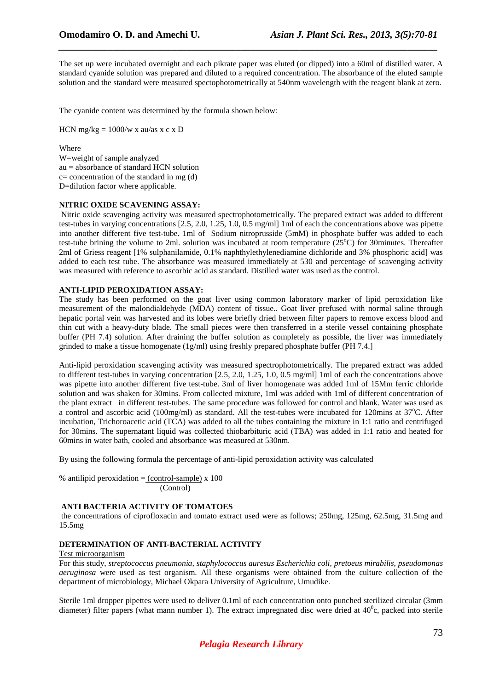The set up were incubated overnight and each pikrate paper was eluted (or dipped) into a 60ml of distilled water. A standard cyanide solution was prepared and diluted to a required concentration. The absorbance of the eluted sample solution and the standard were measured spectophotometrically at 540nm wavelength with the reagent blank at zero.

*\_\_\_\_\_\_\_\_\_\_\_\_\_\_\_\_\_\_\_\_\_\_\_\_\_\_\_\_\_\_\_\_\_\_\_\_\_\_\_\_\_\_\_\_\_\_\_\_\_\_\_\_\_\_\_\_\_\_\_\_\_\_\_\_\_\_\_\_\_\_\_\_\_\_\_\_\_* 

The cyanide content was determined by the formula shown below:

HCN mg/kg =  $1000/w$  x au/as x c x D

Where

W=weight of sample analyzed au = absorbance of standard HCN solution  $c=$  concentration of the standard in mg (d) D=dilution factor where applicable.

### **NITRIC OXIDE SCAVENING ASSAY:**

 Nitric oxide scavenging activity was measured spectrophotometrically. The prepared extract was added to different test-tubes in varying concentrations [2.5, 2.0, 1.25, 1.0, 0.5 mg/ml] 1ml of each the concentrations above was pipette into another different five test-tube. 1ml of Sodium nitroprusside (5mM) in phosphate buffer was added to each test-tube brining the volume to 2ml. solution was incubated at room temperature ( $25^{\circ}$ C) for 30minutes. Thereafter 2ml of Griess reagent [1% sulphanilamide, 0.1% naphthylethylenediamine dichloride and 3% phosphoric acid] was added to each test tube. The absorbance was measured immediately at 530 and percentage of scavenging activity was measured with reference to ascorbic acid as standard. Distilled water was used as the control.

# **ANTI-LIPID PEROXIDATION ASSAY:**

The study has been performed on the goat liver using common laboratory marker of lipid peroxidation like measurement of the malondialdehyde (MDA) content of tissue.. Goat liver prefused with normal saline through hepatic portal vein was harvested and its lobes were briefly dried between filter papers to remove excess blood and thin cut with a heavy-duty blade. The small pieces were then transferred in a sterile vessel containing phosphate buffer (PH 7.4) solution. After draining the buffer solution as completely as possible, the liver was immediately grinded to make a tissue homogenate (1g/ml) using freshly prepared phosphate buffer (PH 7.4.]

Anti-lipid peroxidation scavenging activity was measured spectrophotometrically. The prepared extract was added to different test-tubes in varying concentration [2.5, 2.0, 1.25, 1.0, 0.5 mg/ml] 1ml of each the concentrations above was pipette into another different five test-tube. 3ml of liver homogenate was added 1ml of 15Mm ferric chloride solution and was shaken for 30mins. From collected mixture, 1ml was added with 1ml of different concentration of the plant extract in different test-tubes. The same procedure was followed for control and blank. Water was used as a control and ascorbic acid (100mg/ml) as standard. All the test-tubes were incubated for 120mins at 37°C. After incubation, Trichoroacetic acid (TCA) was added to all the tubes containing the mixture in 1:1 ratio and centrifuged for 30mins. The supernatant liquid was collected thiobarbituric acid (TBA) was added in 1:1 ratio and heated for 60mins in water bath, cooled and absorbance was measured at 530nm.

By using the following formula the percentage of anti-lipid peroxidation activity was calculated

% antilipid peroxidation  $=$  (control-sample) x 100 (Control)

# **ANTI BACTERIA ACTIVITY OF TOMATOES**

 the concentrations of ciprofloxacin and tomato extract used were as follows; 250mg, 125mg, 62.5mg, 31.5mg and 15.5mg

# **DETERMINATION OF ANTI-BACTERIAL ACTIVITY**

### Test microorganism

For this study, *streptococcus pneumonia, staphylococcus auresus Escherichia coli, pretoeus mirabilis, pseudomonas aeruginosa* were used as test organism. All these organisms were obtained from the culture collection of the department of microbiology, Michael Okpara University of Agriculture, Umudike.

Sterile 1ml dropper pipettes were used to deliver 0.1ml of each concentration onto punched sterilized circular (3mm diameter) filter papers (what mann number 1). The extract impregnated disc were dried at  $40^{\circ}$ c, packed into sterile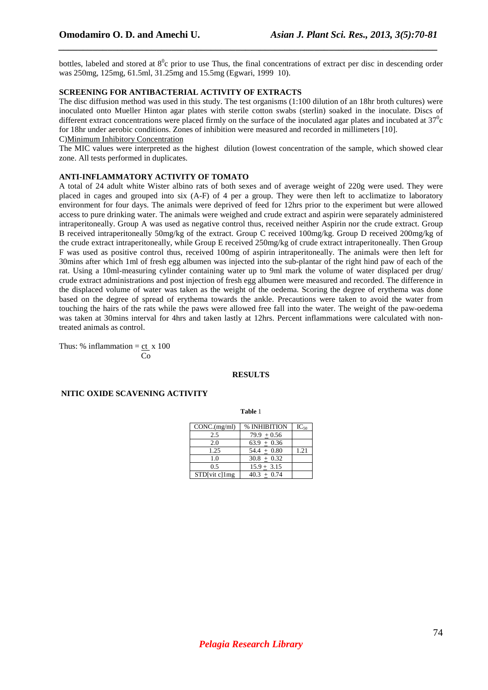bottles, labeled and stored at  $8^\circ c$  prior to use Thus, the final concentrations of extract per disc in descending order was 250mg, 125mg, 61.5ml, 31.25mg and 15.5mg (Egwari, 1999 10).

*\_\_\_\_\_\_\_\_\_\_\_\_\_\_\_\_\_\_\_\_\_\_\_\_\_\_\_\_\_\_\_\_\_\_\_\_\_\_\_\_\_\_\_\_\_\_\_\_\_\_\_\_\_\_\_\_\_\_\_\_\_\_\_\_\_\_\_\_\_\_\_\_\_\_\_\_\_* 

### **SCREENING FOR ANTIBACTERIAL ACTIVITY OF EXTRACTS**

The disc diffusion method was used in this study. The test organisms (1:100 dilution of an 18hr broth cultures) were inoculated onto Mueller Hinton agar plates with sterile cotton swabs (sterlin) soaked in the inoculate. Discs of different extract concentrations were placed firmly on the surface of the inoculated agar plates and incubated at  $37^{\circ}$ c for 18hr under aerobic conditions. Zones of inhibition were measured and recorded in millimeters [10].

# C)Minimum Inhibitory Concentration

The MIC values were interpreted as the highest dilution (lowest concentration of the sample, which showed clear zone. All tests performed in duplicates.

### **ANTI-INFLAMMATORY ACTIVITY OF TOMATO**

A total of 24 adult white Wister albino rats of both sexes and of average weight of 220g were used. They were placed in cages and grouped into six (A-F) of 4 per a group. They were then left to acclimatize to laboratory environment for four days. The animals were deprived of feed for 12hrs prior to the experiment but were allowed access to pure drinking water. The animals were weighed and crude extract and aspirin were separately administered intraperitoneally. Group A was used as negative control thus, received neither Aspirin nor the crude extract. Group B received intraperitoneally 50mg/kg of the extract. Group C received 100mg/kg. Group D received 200mg/kg of the crude extract intraperitoneally, while Group E received 250mg/kg of crude extract intraperitoneally. Then Group F was used as positive control thus, received 100mg of aspirin intraperitoneally. The animals were then left for 30mins after which 1ml of fresh egg albumen was injected into the sub-plantar of the right hind paw of each of the rat. Using a 10ml-measuring cylinder containing water up to 9ml mark the volume of water displaced per drug/ crude extract administrations and post injection of fresh egg albumen were measured and recorded. The difference in the displaced volume of water was taken as the weight of the oedema. Scoring the degree of erythema was done based on the degree of spread of erythema towards the ankle. Precautions were taken to avoid the water from touching the hairs of the rats while the paws were allowed free fall into the water. The weight of the paw-oedema was taken at 30mins interval for 4hrs and taken lastly at 12hrs. Percent inflammations were calculated with nontreated animals as control.

Thus: % inflammation =  $ct x 100$ Co

#### **RESULTS**

### **NITIC OXIDE SCAVENING ACTIVITY**

**Table** 1

| CONC.(mg/ml)  | % INHIBITION  | $IC_{50}$ |
|---------------|---------------|-----------|
| 2.5           | $79.9 + 0.56$ |           |
| 2.0           | $63.9 + 0.36$ |           |
| 1.25          | $54.4 + 0.80$ | 1.21      |
| 1.0           | $30.8 + 0.32$ |           |
| 0.5           | $15.9 + 3.15$ |           |
| STD[vit c]1mg | $40.3 + 0.74$ |           |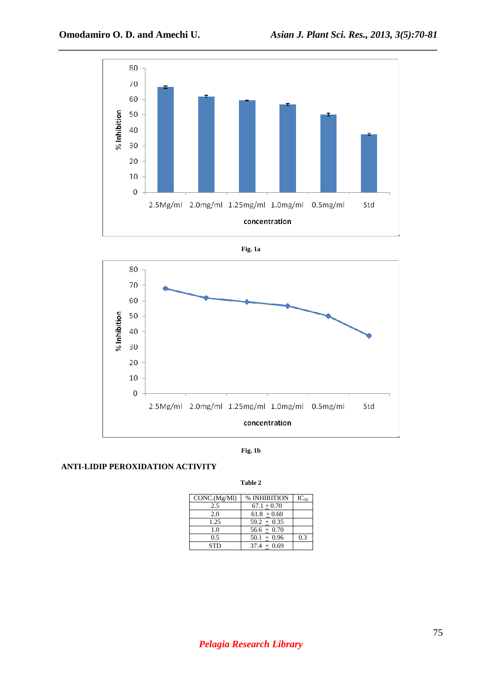







**Table 2** 

# **ANTI-LIDIP PEROXIDATION ACTIVITY**

| CONC.(Mg/Ml) | % INHIBITION  | $IC_{50}$ |
|--------------|---------------|-----------|
| 2.5          | $67.1 + 0.70$ |           |
| 2.0          | $61.8 + 0.60$ |           |
| 1.25         | $59.2 + 0.35$ |           |
| 1.0          | $56.6 + 0.70$ |           |
| 0.5          | $50.1 + 0.96$ | 0.3       |
| <b>STD</b>   | $37.4 + 0.69$ |           |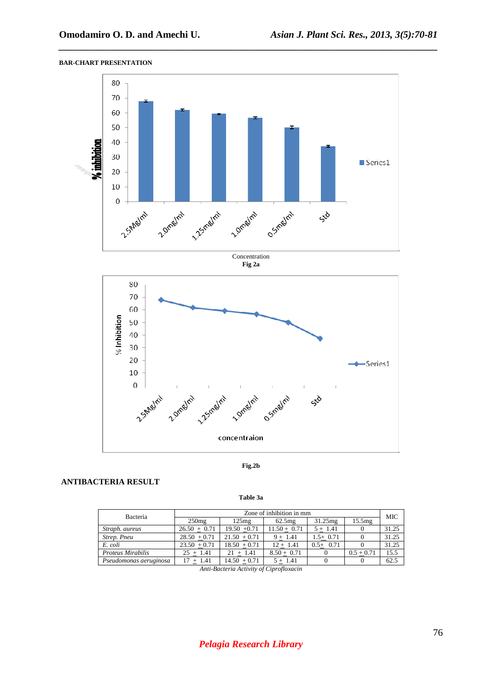

*\_\_\_\_\_\_\_\_\_\_\_\_\_\_\_\_\_\_\_\_\_\_\_\_\_\_\_\_\_\_\_\_\_\_\_\_\_\_\_\_\_\_\_\_\_\_\_\_\_\_\_\_\_\_\_\_\_\_\_\_\_\_\_\_\_\_\_\_\_\_\_\_\_\_\_\_\_* 

# **BAR-CHART PRESENTATION**



**Fig.2b** 

# **ANTIBACTERIA RESULT**

**Table 3a** 

| Bacteria               | Zone of inhibition in mm |                |                |            |              |       |  |
|------------------------|--------------------------|----------------|----------------|------------|--------------|-------|--|
|                        | 250mg                    | 125mg          | 62.5mg         | 31.25mg    | 15.5mg       | MIC   |  |
| Straph. aureus         | $26.50 + 0.71$           | $19.50 + 0.71$ | $11.50 + 0.71$ | $5 + 1.41$ |              | 31.25 |  |
| Strep. Pneu            | $28.50 + 0.71$           | $21.50 + 0.71$ | $9 + 1.41$     | $1.5+0.71$ |              | 31.25 |  |
| E. coli                | $23.50 + 0.71$           | $18.50 + 0.71$ | $12 + 1.41$    | $0.5+0.71$ |              | 31.25 |  |
| Proteus Mirabilis      | $25 + 1.41$              | $21 + 1.41$    | $8.50 + 0.71$  |            | $0.5 + 0.71$ | 15.5  |  |
| Pseudomonas aeruginosa | $+ 1.41$                 | $14.50 + 0.71$ | $5 + 1.41$     |            |              | 62.5  |  |

*Anti-Bacteria Activity of Ciprofloxacin* 

.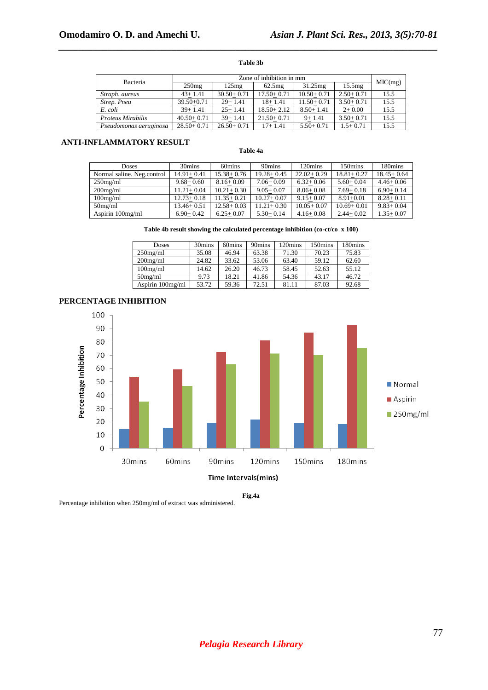### **Table 3b**

*\_\_\_\_\_\_\_\_\_\_\_\_\_\_\_\_\_\_\_\_\_\_\_\_\_\_\_\_\_\_\_\_\_\_\_\_\_\_\_\_\_\_\_\_\_\_\_\_\_\_\_\_\_\_\_\_\_\_\_\_\_\_\_\_\_\_\_\_\_\_\_\_\_\_\_\_\_* 

| Bacteria               | Zone of inhibition in mm |                |                |                |               |         |  |
|------------------------|--------------------------|----------------|----------------|----------------|---------------|---------|--|
|                        | 250mg                    | 125mg          | 62.5mg         | 31.25mg        | 15.5mg        | MIC(mg) |  |
| Straph, aureus         | $43+1.41$                | $30.50 + 0.71$ | $17.50 + 0.71$ | $10.50 + 0.71$ | $2.50+0.71$   | 15.5    |  |
| Strep. Pneu            | $39.50 + 0.71$           | $29+1.41$      | $18 + 1.41$    | $11.50 + 0.71$ | $3.50 + 0.71$ | 15.5    |  |
| E. coli                | $39+1.41$                | $25+1.41$      | $18.50 + 2.12$ | $8.50 + 1.41$  | $2+0.00$      | 15.5    |  |
| Proteus Mirabilis      | $40.50 + 0.71$           | $39 + 1.41$    | $21.50 + 0.71$ | $9 + 1.41$     | $3.50 + 0.71$ | 15.5    |  |
| Pseudomonas aeruginosa | $28.50 + 0.71$           | $26.50 + 0.71$ | $17+1.41$      | $5.50 + 0.71$  | $1.5 + 0.71$  | 15.5    |  |

# **ANTI-INFLAMMATORY RESULT**

### **Table 4a**

| <b>Doses</b>               | 30mins         | 60mins         | 90mins         | 120mins        | 150mins        | 180mins        |
|----------------------------|----------------|----------------|----------------|----------------|----------------|----------------|
| Normal saline. Neg.control | $14.91 + 0.41$ | $15.38 + 0.76$ | $19.28 + 0.45$ | $22.02 + 0.29$ | $18.81 + 0.27$ | $18.45 + 0.64$ |
| $250$ mg/ml                | $9.68 + 0.60$  | $8.16 + 0.09$  | $7.06 + 0.09$  | $6.32 + 0.06$  | $5.60 + 0.04$  | $4.46 + 0.06$  |
| $200$ mg/ml                | $11.21 + 0.04$ | $10.21 + 0.30$ | $9.05 + 0.07$  | $8.06 + 0.08$  | $7.69 + 0.18$  | $6.90 + 0.14$  |
| 100mg/ml                   | $12.73 + 0.18$ | $11.35 + 0.21$ | $10.27 + 0.07$ | $9.15 + 0.07$  | $8.91 + 0.01$  | $8.28 + 0.11$  |
| 50mg/ml                    | $13.46 + 0.51$ | $12.58 + 0.03$ | $11.21 + 0.30$ | $10.05 + 0.07$ | $10.69 + 0.01$ | $9.83 + 0.04$  |
| Aspirin 100mg/ml           | $6.90 + 0.42$  | $6.25 + 0.07$  | $5.30+0.14$    | $4.16 + 0.08$  | $2.44 + 0.02$  | $1.35 + 0.07$  |

**Table 4b result showing the calculated percentage inhibition (co-ct/co x 100)** 

| <b>Doses</b>     | 30mins | 60mins | 90mins | 120mins | 150mins | 180mins |
|------------------|--------|--------|--------|---------|---------|---------|
| $250$ mg/ml      | 35.08  | 46.94  | 63.38  | 71.30   | 70.23   | 75.83   |
| $200$ mg/ml      | 24.82  | 33.62  | 53.06  | 63.40   | 59.12   | 62.60   |
| 100mg/ml         | 14.62  | 26.20  | 46.73  | 58.45   | 52.63   | 55.12   |
| 50mg/ml          | 9.73   | 18.21  | 41.86  | 54.36   | 43.17   | 46.72   |
| Aspirin 100mg/ml | 53.72  | 59.36  | 72.51  | 81.11   | 87.03   | 92.68   |



### **PERCENTAGE INHIBITION**

**Fig.4a** 

Percentage inhibition when 250mg/ml of extract was administered.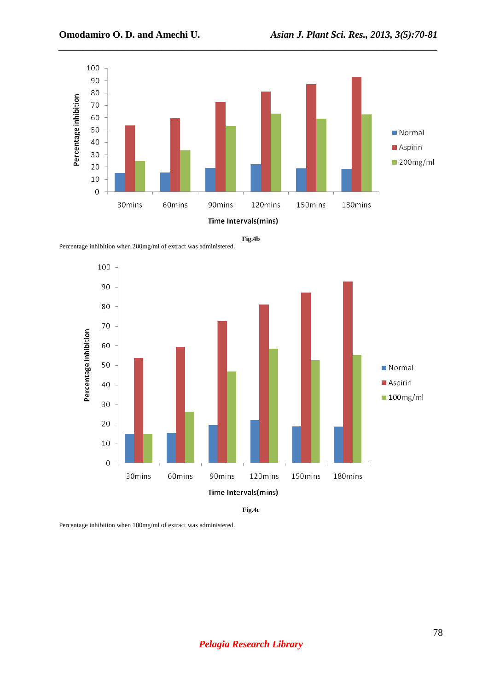

**Fig.4b** 

Percentage inhibition when 200mg/ml of extract was administered.



**Fig.4c** 

Percentage inhibition when 100mg/ml of extract was administered.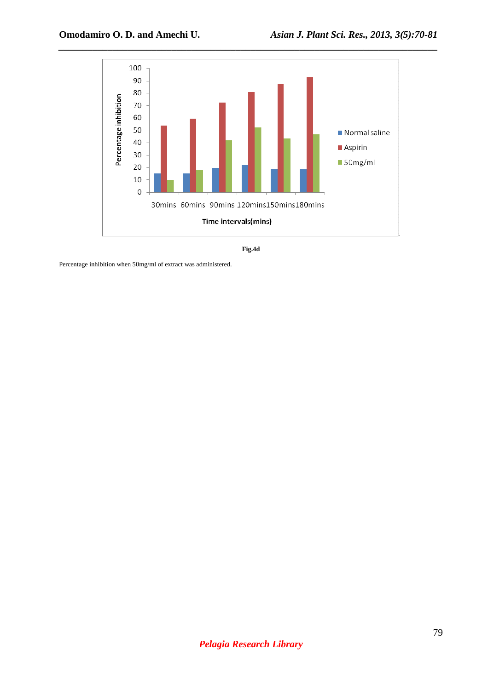

**Fig.4d** 

Percentage inhibition when 50mg/ml of extract was administered.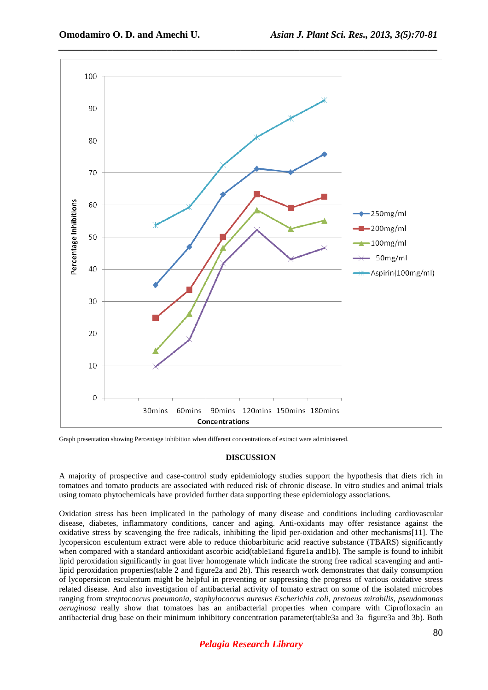

Graph presentation showing Percentage inhibition when different concentrations of extract were administered.

### **DISCUSSION**

A majority of prospective and case-control study epidemiology studies support the hypothesis that diets rich in tomatoes and tomato products are associated with reduced risk of chronic disease. In vitro studies and animal trials using tomato phytochemicals have provided further data supporting these epidemiology associations.

Oxidation stress has been implicated in the pathology of many disease and conditions including cardiovascular disease, diabetes, inflammatory conditions, cancer and aging. Anti-oxidants may offer resistance against the oxidative stress by scavenging the free radicals, inhibiting the lipid per-oxidation and other mechanisms[11]. The lycopersicon esculentum extract were able to reduce thiobarbituric acid reactive substance (TBARS) significantly when compared with a standard antioxidant ascorbic acid(table1and figure1a and1b). The sample is found to inhibit lipid peroxidation significantly in goat liver homogenate which indicate the strong free radical scavenging and antilipid peroxidation properties(table 2 and figure2a and 2b). This research work demonstrates that daily consumption of lycopersicon esculentum might be helpful in preventing or suppressing the progress of various oxidative stress related disease. And also investigation of antibacterial activity of tomato extract on some of the isolated microbes ranging from *streptococcus pneumonia, staphylococcus auresus Escherichia coli, pretoeus mirabilis, pseudomonas aeruginosa* really show that tomatoes has an antibacterial properties when compare with Ciprofloxacin an antibacterial drug base on their minimum inhibitory concentration parameter(table3a and 3a figure3a and 3b). Both

# *Pelagia Research Library*